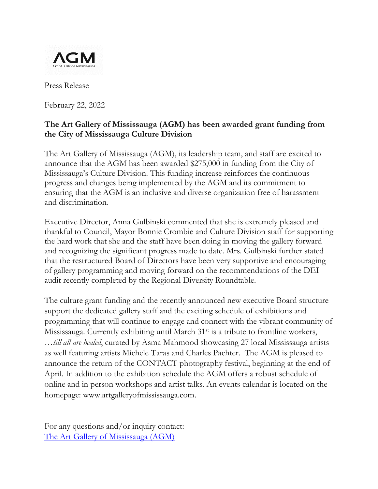

Press Release

February 22, 2022

## **The Art Gallery of Mississauga (AGM) has been awarded grant funding from the City of Mississauga Culture Division**

The Art Gallery of Mississauga (AGM), its leadership team, and staff are excited to announce that the AGM has been awarded \$275,000 in funding from the City of Mississauga's Culture Division. This funding increase reinforces the continuous progress and changes being implemented by the AGM and its commitment to ensuring that the AGM is an inclusive and diverse organization free of harassment and discrimination.

Executive Director, Anna Gulbinski commented that she is extremely pleased and thankful to Council, Mayor Bonnie Crombie and Culture Division staff for supporting the hard work that she and the staff have been doing in moving the gallery forward and recognizing the significant progress made to date. Mrs. Gulbinski further stated that the restructured Board of Directors have been very supportive and encouraging of gallery programming and moving forward on the recommendations of the DEI audit recently completed by the Regional Diversity Roundtable.

The culture grant funding and the recently announced new executive Board structure support the dedicated gallery staff and the exciting schedule of exhibitions and programming that will continue to engage and connect with the vibrant community of Mississauga. Currently exhibiting until March  $31<sup>st</sup>$  is a tribute to frontline workers, *…till all are healed*, curated by Asma Mahmood showcasing 27 local Mississauga artists as well featuring artists Michele Taras and Charles Pachter. The AGM is pleased to announce the return of the CONTACT photography festival, beginning at the end of April. In addition to the exhibition schedule the AGM offers a robust schedule of online and in person workshops and artist talks. An events calendar is located on the homepage: www.artgalleryofmississauga.com.

For any questions and/or inquiry contact: [The Art Gallery of Mississauga \(AGM\)](mailto:agm.connect@mississauga.ca)